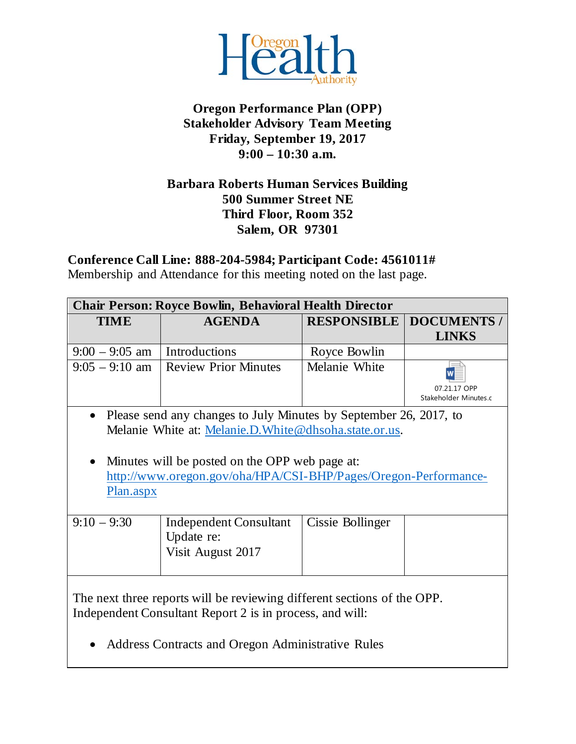

## **Oregon Performance Plan (OPP) Stakeholder Advisory Team Meeting Friday, September 19, 2017 9:00 – 10:30 a.m.**

### **Barbara Roberts Human Services Building 500 Summer Street NE Third Floor, Room 352 Salem, OR 97301**

**Conference Call Line: 888-204-5984; Participant Code: 4561011#**

Membership and Attendance for this meeting noted on the last page.

| <b>Chair Person: Royce Bowlin, Behavioral Health Director</b>                                                                                                                            |                                                                  |                    |                                       |
|------------------------------------------------------------------------------------------------------------------------------------------------------------------------------------------|------------------------------------------------------------------|--------------------|---------------------------------------|
| <b>TIME</b>                                                                                                                                                                              | <b>AGENDA</b>                                                    | <b>RESPONSIBLE</b> | <b>DOCUMENTS /</b>                    |
|                                                                                                                                                                                          |                                                                  |                    | <b>LINKS</b>                          |
| $9:00 - 9:05$ am                                                                                                                                                                         | Introductions                                                    | Royce Bowlin       |                                       |
| $9:05 - 9:10$ am                                                                                                                                                                         | Review Prior Minutes                                             | Melanie White      | 07.21.17 OPP<br>Stakeholder Minutes.c |
| Please send any changes to July Minutes by September 26, 2017, to<br>$\bullet$<br>Melanie White at: Melanie.D. White @dhsoha.state.or.us.                                                |                                                                  |                    |                                       |
| Minutes will be posted on the OPP web page at:<br>$\bullet$<br>http://www.oregon.gov/oha/HPA/CSI-BHP/Pages/Oregon-Performance-<br>Plan.aspx                                              |                                                                  |                    |                                       |
| $9:10 - 9:30$                                                                                                                                                                            | <b>Independent Consultant</b><br>Update re:<br>Visit August 2017 | Cissie Bollinger   |                                       |
| The next three reports will be reviewing different sections of the OPP.<br>Independent Consultant Report 2 is in process, and will:<br>Address Contracts and Oregon Administrative Rules |                                                                  |                    |                                       |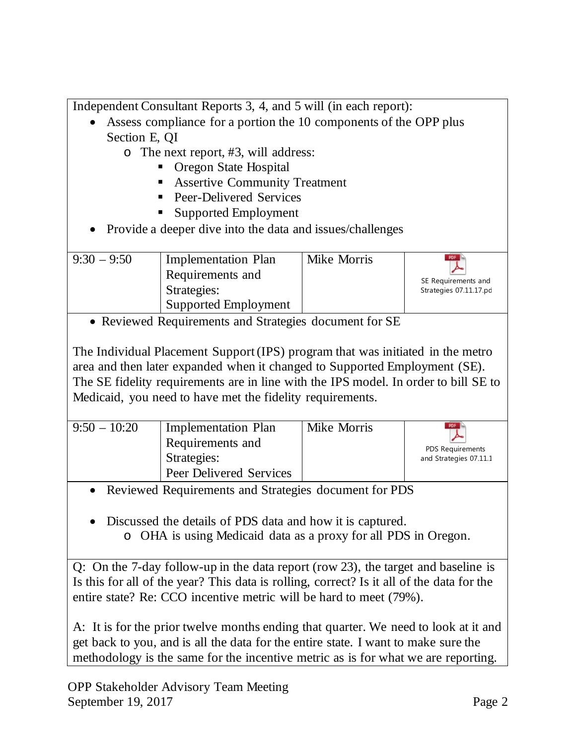Independent Consultant Reports 3, 4, and 5 will (in each report):

- Assess compliance for a portion the 10 components of the OPP plus Section E, QI
	- o The next report, #3, will address:
		- Oregon State Hospital
		- **Assertive Community Treatment**
		- **Peer-Delivered Services**
		- Supported Employment
- Provide a deeper dive into the data and issues/challenges

| $9:30 - 9:50$<br><b>Implementation Plan</b><br>Requirements and<br>Strategies:<br>Supported Employment | Mike Morris | PDF<br>SE Requirements and<br>Strategies 07.11.17.pc |
|--------------------------------------------------------------------------------------------------------|-------------|------------------------------------------------------|
|--------------------------------------------------------------------------------------------------------|-------------|------------------------------------------------------|

• Reviewed Requirements and Strategies document for SE

The Individual Placement Support (IPS) program that was initiated in the metro area and then later expanded when it changed to Supported Employment (SE). The SE fidelity requirements are in line with the IPS model. In order to bill SE to Medicaid, you need to have met the fidelity requirements.

| $9:50 - 10:20$ | Implementation Plan<br>Requirements and<br>Strategies:<br>Peer Delivered Services | Mike Morris | PDF<br>PDS Requirements<br>and Strategies 07.11.1 |
|----------------|-----------------------------------------------------------------------------------|-------------|---------------------------------------------------|
|----------------|-----------------------------------------------------------------------------------|-------------|---------------------------------------------------|

• Reviewed Requirements and Strategies document for PDS

• Discussed the details of PDS data and how it is captured.

o OHA is using Medicaid data as a proxy for all PDS in Oregon.

Q: On the 7-day follow-up in the data report (row 23), the target and baseline is Is this for all of the year? This data is rolling, correct? Is it all of the data for the entire state? Re: CCO incentive metric will be hard to meet (79%).

A: It is for the prior twelve months ending that quarter. We need to look at it and get back to you, and is all the data for the entire state. I want to make sure the methodology is the same for the incentive metric as is for what we are reporting.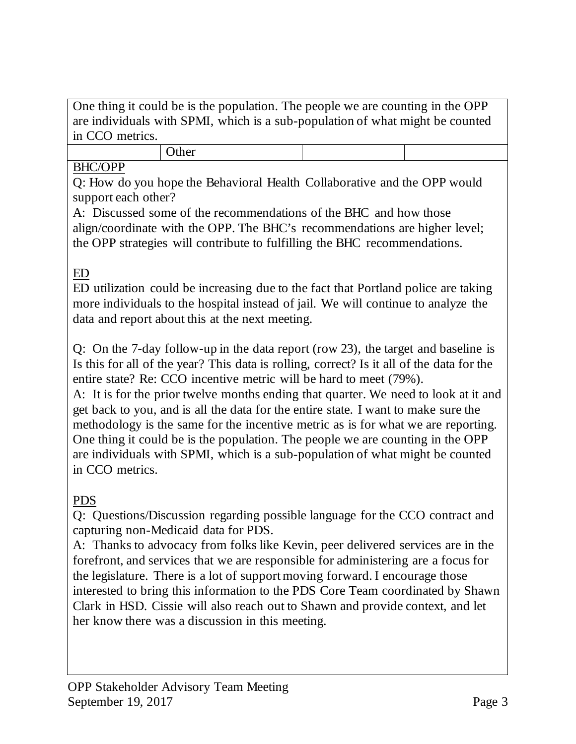One thing it could be is the population. The people we are counting in the OPP are individuals with SPMI, which is a sub-population of what might be counted in CCO metrics.

# **Other**

## BHC/OPP

Q: How do you hope the Behavioral Health Collaborative and the OPP would support each other?

A: Discussed some of the recommendations of the BHC and how those align/coordinate with the OPP. The BHC's recommendations are higher level; the OPP strategies will contribute to fulfilling the BHC recommendations.

# ED

ED utilization could be increasing due to the fact that Portland police are taking more individuals to the hospital instead of jail. We will continue to analyze the data and report about this at the next meeting.

Q: On the 7-day follow-up in the data report (row 23), the target and baseline is Is this for all of the year? This data is rolling, correct? Is it all of the data for the entire state? Re: CCO incentive metric will be hard to meet (79%).

A: It is for the prior twelve months ending that quarter. We need to look at it and get back to you, and is all the data for the entire state. I want to make sure the methodology is the same for the incentive metric as is for what we are reporting. One thing it could be is the population. The people we are counting in the OPP are individuals with SPMI, which is a sub-population of what might be counted in CCO metrics.

## PDS

Q: Questions/Discussion regarding possible language for the CCO contract and capturing non-Medicaid data for PDS.

A: Thanks to advocacy from folks like Kevin, peer delivered services are in the forefront, and services that we are responsible for administering are a focus for the legislature. There is a lot of support moving forward. I encourage those interested to bring this information to the PDS Core Team coordinated by Shawn Clark in HSD. Cissie will also reach out to Shawn and provide context, and let her know there was a discussion in this meeting.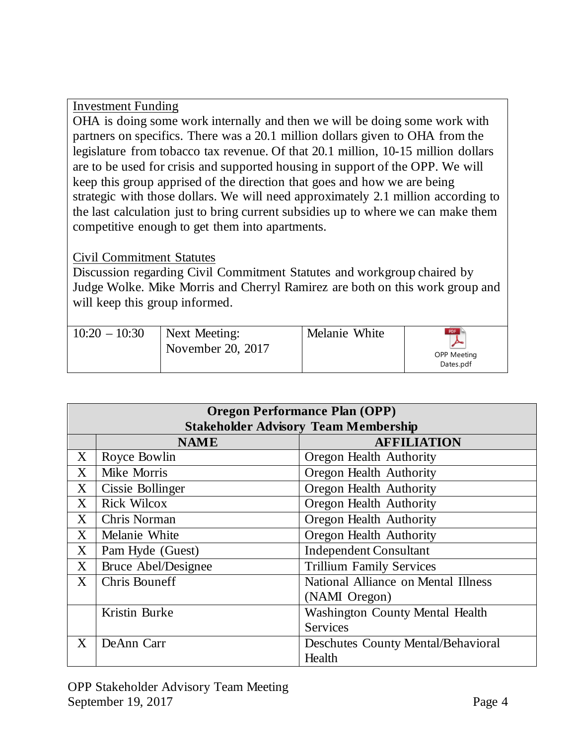### Investment Funding

OHA is doing some work internally and then we will be doing some work with partners on specifics. There was a 20.1 million dollars given to OHA from the legislature from tobacco tax revenue. Of that 20.1 million, 10-15 million dollars are to be used for crisis and supported housing in support of the OPP. We will keep this group apprised of the direction that goes and how we are being strategic with those dollars. We will need approximately 2.1 million according to the last calculation just to bring current subsidies up to where we can make them competitive enough to get them into apartments.

### Civil Commitment Statutes

Discussion regarding Civil Commitment Statutes and workgroup chaired by Judge Wolke. Mike Morris and Cherryl Ramirez are both on this work group and will keep this group informed.

| $10:20 - 10:30$ | Next Meeting:<br>November 20, 2017 | Melanie White | PDF<br><b>OPP Meeting</b><br>Dates.pdf |
|-----------------|------------------------------------|---------------|----------------------------------------|
|-----------------|------------------------------------|---------------|----------------------------------------|

| <b>Oregon Performance Plan (OPP)</b>        |                            |                                           |
|---------------------------------------------|----------------------------|-------------------------------------------|
| <b>Stakeholder Advisory Team Membership</b> |                            |                                           |
|                                             | <b>NAME</b>                | <b>AFFILIATION</b>                        |
| $\boldsymbol{\mathrm{X}}$                   | Royce Bowlin               | Oregon Health Authority                   |
| $X_{\mathcal{C}}$                           | Mike Morris                | Oregon Health Authority                   |
| $X_{\mathcal{E}}$                           | Cissie Bollinger           | Oregon Health Authority                   |
| X                                           | <b>Rick Wilcox</b>         | Oregon Health Authority                   |
| $\rm X$                                     | Chris Norman               | Oregon Health Authority                   |
| $X_{\mathcal{E}}$                           | Melanie White              | <b>Oregon Health Authority</b>            |
| $X_{\mathcal{E}}$                           | Pam Hyde (Guest)           | <b>Independent Consultant</b>             |
| X                                           | <b>Bruce Abel/Designee</b> | <b>Trillium Family Services</b>           |
| $X_{\mathcal{E}}$                           | <b>Chris Bouneff</b>       | National Alliance on Mental Illness       |
|                                             |                            | (NAMI Oregon)                             |
|                                             | Kristin Burke              | <b>Washington County Mental Health</b>    |
|                                             |                            | Services                                  |
| $X_{\mathcal{E}}$                           | DeAnn Carr                 | <b>Deschutes County Mental/Behavioral</b> |
|                                             |                            | Health                                    |